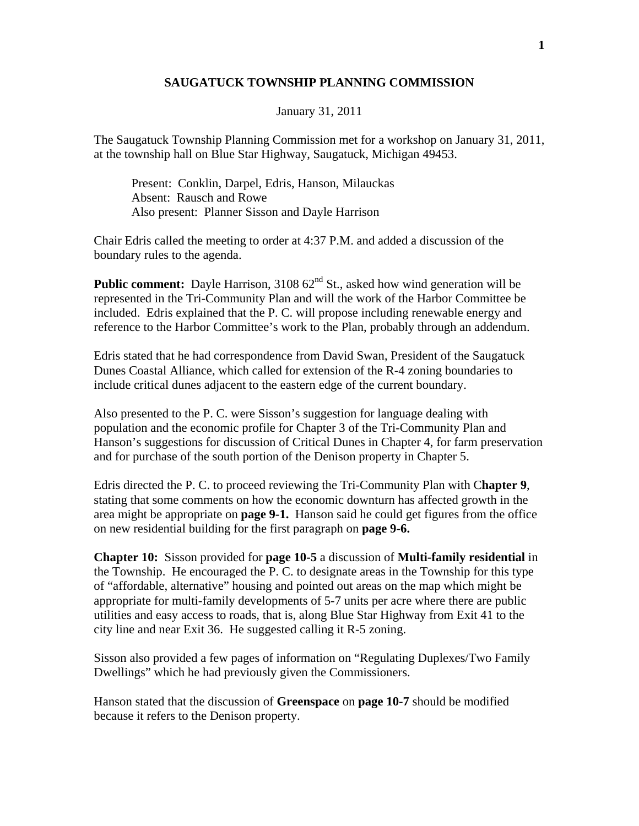## **SAUGATUCK TOWNSHIP PLANNING COMMISSION**

January 31, 2011

The Saugatuck Township Planning Commission met for a workshop on January 31, 2011, at the township hall on Blue Star Highway, Saugatuck, Michigan 49453.

 Present: Conklin, Darpel, Edris, Hanson, Milauckas Absent: Rausch and Rowe Also present: Planner Sisson and Dayle Harrison

Chair Edris called the meeting to order at 4:37 P.M. and added a discussion of the boundary rules to the agenda.

**Public comment:** Dayle Harrison, 3108 62<sup>nd</sup> St., asked how wind generation will be represented in the Tri-Community Plan and will the work of the Harbor Committee be included. Edris explained that the P. C. will propose including renewable energy and reference to the Harbor Committee's work to the Plan, probably through an addendum.

Edris stated that he had correspondence from David Swan, President of the Saugatuck Dunes Coastal Alliance, which called for extension of the R-4 zoning boundaries to include critical dunes adjacent to the eastern edge of the current boundary.

Also presented to the P. C. were Sisson's suggestion for language dealing with population and the economic profile for Chapter 3 of the Tri-Community Plan and Hanson's suggestions for discussion of Critical Dunes in Chapter 4, for farm preservation and for purchase of the south portion of the Denison property in Chapter 5.

Edris directed the P. C. to proceed reviewing the Tri-Community Plan with C**hapter 9**, stating that some comments on how the economic downturn has affected growth in the area might be appropriate on **page 9-1.** Hanson said he could get figures from the office on new residential building for the first paragraph on **page 9-6.** 

**Chapter 10:** Sisson provided for **page 10-5** a discussion of **Multi-family residential** in the Township. He encouraged the P. C. to designate areas in the Township for this type of "affordable, alternative" housing and pointed out areas on the map which might be appropriate for multi-family developments of 5-7 units per acre where there are public utilities and easy access to roads, that is, along Blue Star Highway from Exit 41 to the city line and near Exit 36. He suggested calling it R-5 zoning.

Sisson also provided a few pages of information on "Regulating Duplexes/Two Family Dwellings" which he had previously given the Commissioners.

Hanson stated that the discussion of **Greenspace** on **page 10-7** should be modified because it refers to the Denison property.